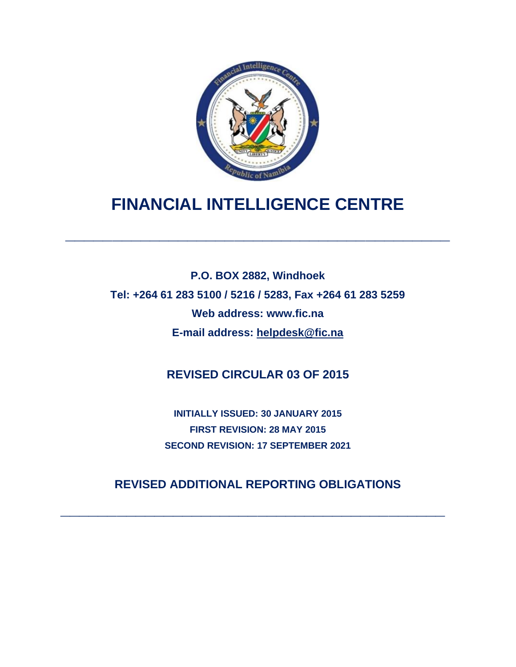

# **FINANCIAL INTELLIGENCE CENTRE**

**\_\_\_\_\_\_\_\_\_\_\_\_\_\_\_\_\_\_\_\_\_\_\_\_\_\_\_\_\_\_\_\_\_\_\_\_\_\_\_\_\_**

**P.O. BOX 2882, Windhoek Tel: +264 61 283 5100 / 5216 / 5283, Fax +264 61 283 5259 Web address: www.fic.na E-mail address: [helpdesk@fic.na](mailto:helpdesk@fic.na)**

**REVISED CIRCULAR 03 OF 2015**

**INITIALLY ISSUED: 30 JANUARY 2015 FIRST REVISION: 28 MAY 2015 SECOND REVISION: 17 SEPTEMBER 2021**

**REVISED ADDITIONAL REPORTING OBLIGATIONS**

**\_\_\_\_\_\_\_\_\_\_\_\_\_\_\_\_\_\_\_\_\_\_\_\_\_\_\_\_\_\_\_\_\_\_\_\_\_\_\_\_\_**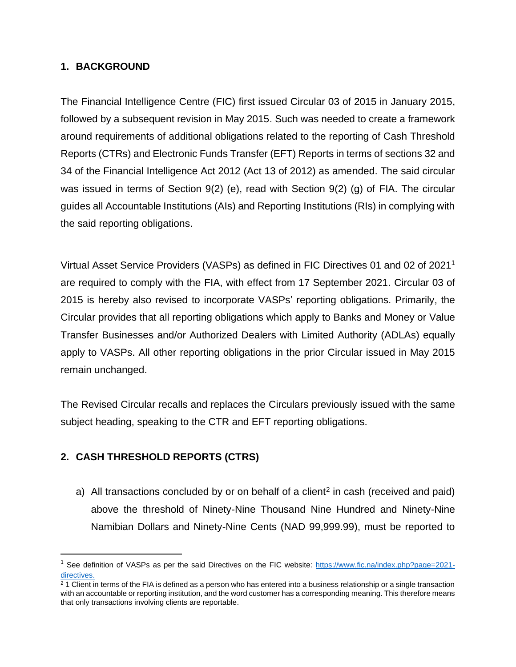## **1. BACKGROUND**

The Financial Intelligence Centre (FIC) first issued Circular 03 of 2015 in January 2015, followed by a subsequent revision in May 2015. Such was needed to create a framework around requirements of additional obligations related to the reporting of Cash Threshold Reports (CTRs) and Electronic Funds Transfer (EFT) Reports in terms of sections 32 and 34 of the Financial Intelligence Act 2012 (Act 13 of 2012) as amended. The said circular was issued in terms of Section 9(2) (e), read with Section 9(2) (g) of FIA. The circular guides all Accountable Institutions (AIs) and Reporting Institutions (RIs) in complying with the said reporting obligations.

Virtual Asset Service Providers (VASPs) as defined in FIC Directives 01 and 02 of 2021<sup>1</sup> are required to comply with the FIA, with effect from 17 September 2021. Circular 03 of 2015 is hereby also revised to incorporate VASPs' reporting obligations. Primarily, the Circular provides that all reporting obligations which apply to Banks and Money or Value Transfer Businesses and/or Authorized Dealers with Limited Authority (ADLAs) equally apply to VASPs. All other reporting obligations in the prior Circular issued in May 2015 remain unchanged.

The Revised Circular recalls and replaces the Circulars previously issued with the same subject heading, speaking to the CTR and EFT reporting obligations.

# **2. CASH THRESHOLD REPORTS (CTRS)**

a) All transactions concluded by or on behalf of a client<sup>2</sup> in cash (received and paid) above the threshold of Ninety-Nine Thousand Nine Hundred and Ninety-Nine Namibian Dollars and Ninety-Nine Cents (NAD 99,999.99), must be reported to

<sup>&</sup>lt;sup>1</sup> See definition of VASPs as per the said Directives on the FIC website: [https://www.fic.na/index.php?page=2021](https://www.fic.na/index.php?page=2021-directives%20) [directives.](https://www.fic.na/index.php?page=2021-directives%20)

 $21$  Client in terms of the FIA is defined as a person who has entered into a business relationship or a single transaction with an accountable or reporting institution, and the word customer has a corresponding meaning. This therefore means that only transactions involving clients are reportable.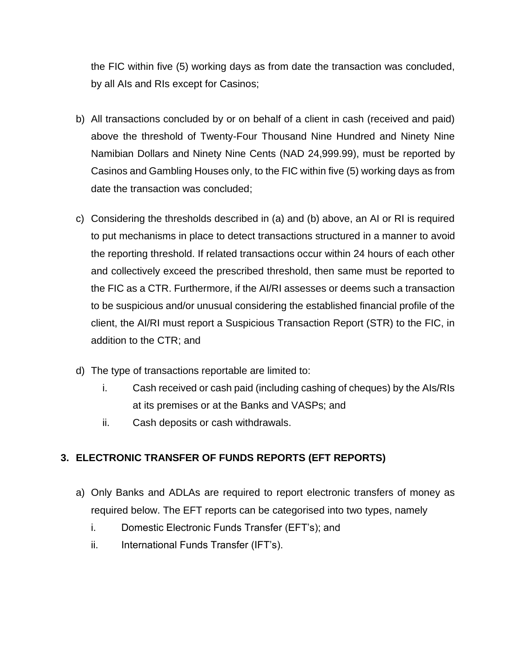the FIC within five (5) working days as from date the transaction was concluded, by all AIs and RIs except for Casinos;

- b) All transactions concluded by or on behalf of a client in cash (received and paid) above the threshold of Twenty-Four Thousand Nine Hundred and Ninety Nine Namibian Dollars and Ninety Nine Cents (NAD 24,999.99), must be reported by Casinos and Gambling Houses only, to the FIC within five (5) working days as from date the transaction was concluded;
- c) Considering the thresholds described in (a) and (b) above, an AI or RI is required to put mechanisms in place to detect transactions structured in a manner to avoid the reporting threshold. If related transactions occur within 24 hours of each other and collectively exceed the prescribed threshold, then same must be reported to the FIC as a CTR. Furthermore, if the AI/RI assesses or deems such a transaction to be suspicious and/or unusual considering the established financial profile of the client, the AI/RI must report a Suspicious Transaction Report (STR) to the FIC, in addition to the CTR; and
- d) The type of transactions reportable are limited to:
	- i. Cash received or cash paid (including cashing of cheques) by the AIs/RIs at its premises or at the Banks and VASPs; and
	- ii. Cash deposits or cash withdrawals.

# **3. ELECTRONIC TRANSFER OF FUNDS REPORTS (EFT REPORTS)**

- a) Only Banks and ADLAs are required to report electronic transfers of money as required below. The EFT reports can be categorised into two types, namely
	- i. Domestic Electronic Funds Transfer (EFT's); and
	- ii. International Funds Transfer (IFT's).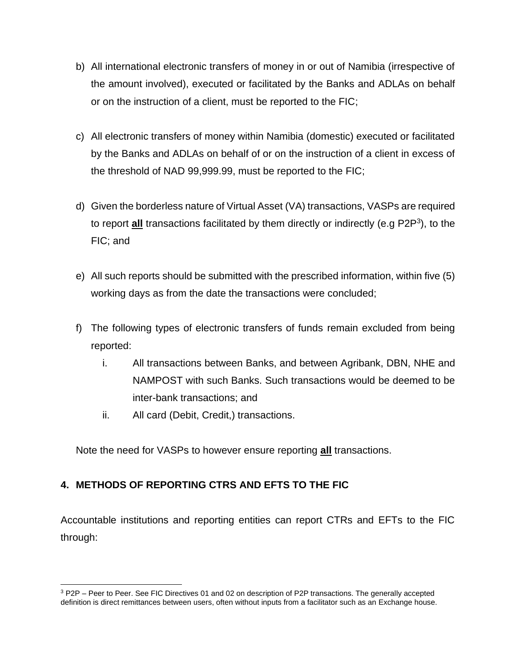- b) All international electronic transfers of money in or out of Namibia (irrespective of the amount involved), executed or facilitated by the Banks and ADLAs on behalf or on the instruction of a client, must be reported to the FIC;
- c) All electronic transfers of money within Namibia (domestic) executed or facilitated by the Banks and ADLAs on behalf of or on the instruction of a client in excess of the threshold of NAD 99,999.99, must be reported to the FIC;
- d) Given the borderless nature of Virtual Asset (VA) transactions, VASPs are required to report **all** transactions facilitated by them directly or indirectly (e.g P2P<sup>3</sup>), to the FIC; and
- e) All such reports should be submitted with the prescribed information, within five (5) working days as from the date the transactions were concluded;
- f) The following types of electronic transfers of funds remain excluded from being reported:
	- i. All transactions between Banks, and between Agribank, DBN, NHE and NAMPOST with such Banks. Such transactions would be deemed to be inter-bank transactions; and
	- ii. All card (Debit, Credit,) transactions.

Note the need for VASPs to however ensure reporting **all** transactions.

# **4. METHODS OF REPORTING CTRS AND EFTS TO THE FIC**

Accountable institutions and reporting entities can report CTRs and EFTs to the FIC through:

<sup>3</sup> P2P – Peer to Peer. See FIC Directives 01 and 02 on description of P2P transactions. The generally accepted definition is direct remittances between users, often without inputs from a facilitator such as an Exchange house.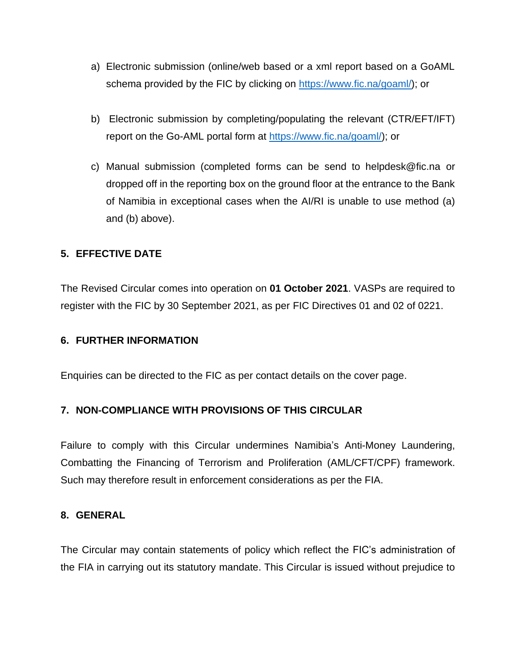- a) Electronic submission (online/web based or a xml report based on a GoAML schema provided by the FIC by clicking on [https://www.fic.na/goaml/\)](https://www.fic.na/goaml/); or
- b) Electronic submission by completing/populating the relevant (CTR/EFT/IFT) report on the Go-AML portal form at [https://www.fic.na/goaml/\)](https://www.fic.na/goaml/); or
- c) Manual submission (completed forms can be send to helpdesk@fic.na or dropped off in the reporting box on the ground floor at the entrance to the Bank of Namibia in exceptional cases when the AI/RI is unable to use method (a) and (b) above).

## **5. EFFECTIVE DATE**

The Revised Circular comes into operation on **01 October 2021**. VASPs are required to register with the FIC by 30 September 2021, as per FIC Directives 01 and 02 of 0221.

#### **6. FURTHER INFORMATION**

Enquiries can be directed to the FIC as per contact details on the cover page.

## **7. NON-COMPLIANCE WITH PROVISIONS OF THIS CIRCULAR**

Failure to comply with this Circular undermines Namibia's Anti-Money Laundering, Combatting the Financing of Terrorism and Proliferation (AML/CFT/CPF) framework. Such may therefore result in enforcement considerations as per the FIA.

#### **8. GENERAL**

The Circular may contain statements of policy which reflect the FIC's administration of the FIA in carrying out its statutory mandate. This Circular is issued without prejudice to